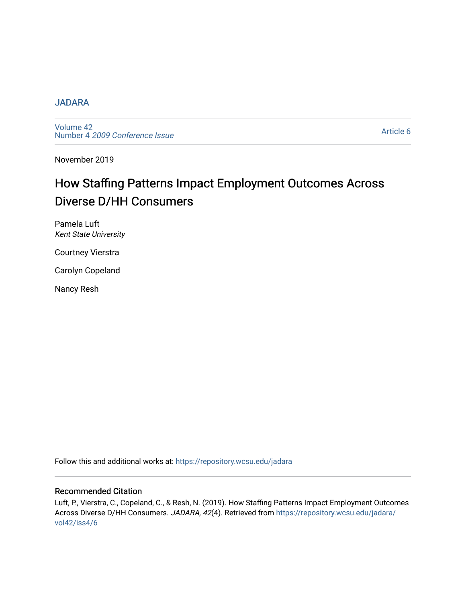#### [JADARA](https://repository.wcsu.edu/jadara)

[Volume 42](https://repository.wcsu.edu/jadara/vol42)  Number 4 [2009 Conference Issue](https://repository.wcsu.edu/jadara/vol42/iss4) 

[Article 6](https://repository.wcsu.edu/jadara/vol42/iss4/6) 

November 2019

# How Staffing Patterns Impact Employment Outcomes Across Diverse D/HH Consumers

Pamela Luft Kent State University

Courtney Vierstra

Carolyn Copeland

Nancy Resh

Follow this and additional works at: [https://repository.wcsu.edu/jadara](https://repository.wcsu.edu/jadara?utm_source=repository.wcsu.edu%2Fjadara%2Fvol42%2Fiss4%2F6&utm_medium=PDF&utm_campaign=PDFCoverPages)

#### Recommended Citation

Luft, P., Vierstra, C., Copeland, C., & Resh, N. (2019). How Staffing Patterns Impact Employment Outcomes Across Diverse D/HH Consumers. JADARA, 42(4). Retrieved from [https://repository.wcsu.edu/jadara/](https://repository.wcsu.edu/jadara/vol42/iss4/6?utm_source=repository.wcsu.edu%2Fjadara%2Fvol42%2Fiss4%2F6&utm_medium=PDF&utm_campaign=PDFCoverPages) [vol42/iss4/6](https://repository.wcsu.edu/jadara/vol42/iss4/6?utm_source=repository.wcsu.edu%2Fjadara%2Fvol42%2Fiss4%2F6&utm_medium=PDF&utm_campaign=PDFCoverPages)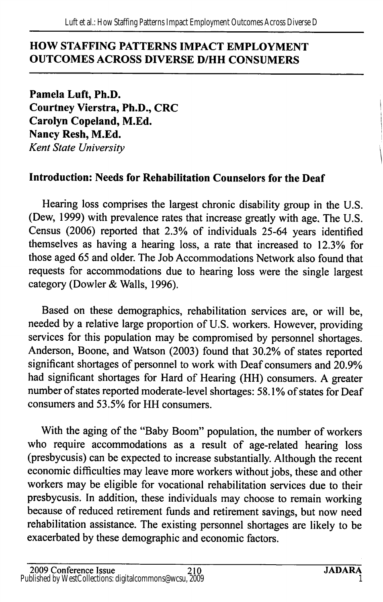### HOW STAFFING PATTERNS IMPACT EMPLOYMENT OUTCOMES ACROSS DIVERSE D/HH CONSUMERS

Pamela Luft, Ph.D. Courtney Vierstra, Ph.D., CRC Carolyn Copeland, M.Ed. Nancy Resh, M.Ed. Kent State University

## Introduction: Needs for Rehabilitation Counselors for the Deaf

Hearing loss comprises the largest chronic disability group in the U.S. (Dew, 1999) with prevalence rates that increase greatly with age. The U.S. Census (2006) reported that 2.3% of individuals 25-64 years identified themselves as having a hearing loss, a rate that increased to 12.3% for those aged 65 and older. The Job Accommodations Network also found that requests for accommodations due to hearing loss were the single largest category (Dowler & Walls, 1996).

Based on these demographics, rehabilitation services are, or will be, needed by a relative large proportion of U.S. workers. However, providing services for this population may be compromised by personnel shortages. Anderson, Boone, and Watson (2003) found that 30.2% of states reported significant shortages of personnel to work with Deaf consumers and 20.9% had significant shortages for Hard of Hearing (HH) consumers. A greater number of states reported moderate-level shortages: 58.1% of states for Deaf consumers and 53.5% for HH consumers.

With the aging of the "Baby Boom" population, the number of workers who require accommodations as a result of age-related hearing loss (presbycusis) can be expected to increase substantially. Although the recent economic difficulties may leave more workers without jobs, these and other workers may be eligible for vocational rehabilitation services due to their presbycusis. In addition, these individuals may choose to remain working because of reduced retirement funds and retirement savings, but now need rehabilitation assistance. The existing personnel shortages are likely to be exacerbated by these demographic and economic factors.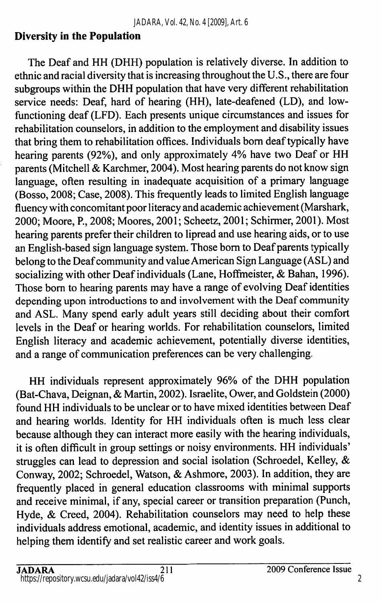### Diversity in the Population

The Deaf and HH (DHH) population is relatively diverse. In addition to ethnic and racial diversity that is increasing throughout the U.S., there are four subgroups within the DHH population that have very different rehabilitation service needs: Deaf, hard of hearing (HH), late-deafened (LD), and lowfunctioning deaf (LFD). Each presents unique circumstances and issues for rehabilitation counselors, in addition to the employment and disability issues that bring them to rehabilitation offices. Individuals bom deaf typically have hearing parents (92%), and only approximately 4% have two Deaf or HH parents (Mitchell & Karchmer, 2004). Most hearing parents do not know sign language, often resulting in inadequate acquisition of a primary language (Bosso, 2008; Case, 2008). This frequently leads to limited English language fluency with concomitant poor literacy and academic achievement (Marshark, 2000; Moore, P., 2008; Moores, 2001; Scheetz, 2001; Schirmer, 2001). Most hearing parents prefer their children to lipread and use hearing aids, or to use an English-based sign language system. Those bom to Deaf parents typically belong to the Deaf community and value American Sign Language (ASL) and socializing with other Deaf individuals (Lane, Hoffmeister, & Bahan, 1996). Those bom to hearing parents may have a range of evolving Deaf identities depending upon introductions to and involvement with the Deaf community and ASL. Many spend early adult years still deciding about their comfort levels in the Deaf or hearing worlds. For rehabilitation counselors, limited English literacy and academic achievement, potentially diverse identities, and a range of communication preferences can be very challenging.

HH individuals represent approximately 96% of the DHH population (Bat-Chava, Deignan, & Martin, 2002). Israelite, Ower, and Goldstein (2000) found HH individuals to be unclear or to have mixed identities between Deaf and hearing worlds. Identity for HH individuals often is much less clear because although they can interact more easily with the hearing individuals, it is often difficult in group settings or noisy environments. HH individuals' struggles can lead to depression and social isolation (Schroedel, Kelley,  $\&$ Conway, 2002; Schroedel, Watson, & Ashmore, 2003). In addition, they are frequently placed in general education classrooms with minimal supports and receive minimal, if any, special career or transition preparation (Punch, Hyde, & Creed, 2004). Rehabilitation counselors may need to help these individuals address emotional, academic, and identity issues in additional to helping them identify and set realistic career and work goals.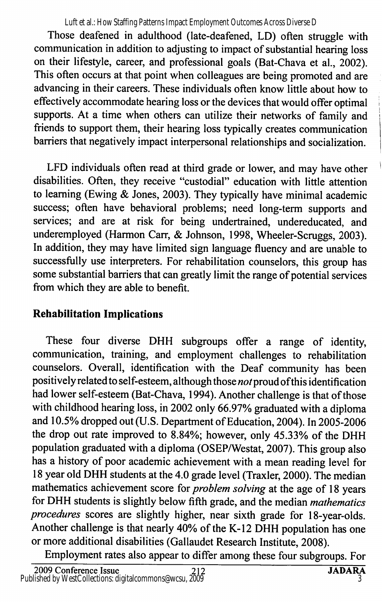Luft et al.: How Staffing Patterns Impact Employment Outcomes Across Diverse D

Those deafened in adulthood (late-deafened, LD) often struggle with communication in addition to adjusting to impact of substantial hearing loss on their lifestyle, career, and professional goals (Bat-Chava et al, 2002). This often occurs at that point when colleagues are being promoted and are advancing in their careers. These individuals often know little about how to effectively accommodate hearing loss or the devices that would offer optimal supports. At a time when others can utilize their networks of family and friends to support them, their hearing loss typically creates communication barriers that negatively impact interpersonal relationships and socialization.

LFD individuals often read at third grade or lower, and may have other disabilities. Often, they receive "custodial" education with little attention to learning (Ewing & Jones, 2003). They typically have minimal academic success; often have behavioral problems; need long-term supports and services; and are at risk for being undertrained, undereducated, and underemployed (Harmon Carr, & Johnson, 1998, Wheeler-Scruggs, 2003). In addition, they may have limited sign language fluency and are unable to successfully use interpreters. For rehabilitation counselors, this group has some substantial barriers that can greatly limit the range of potential services from which they are able to benefit.

## Rehabilitation Implications

These four diverse DHH subgroups offer a range of identity, communication, training, and employment challenges to rehabilitation counselors. Overall, identification with the Deaf community has been positively related to self-esteem, although those not proud of this identification had lower self-esteem (Bat-Chava, 1994). Another challenge is that of those with childhood hearing loss, in 2002 only 66.97% graduated with a diploma and 10.5% dropped out (U.S. Department of Education, 2004). In 2005-2006 the drop out rate improved to 8.84%; however, only 45.33% of the DHH population graduated with a diploma (OSEP/Westat, 2007). This group also has a history of poor academic achievement with a mean reading level for 18 year old DHH students at the 4.0 grade level (Traxler, 2000). The median mathematics achievement score for *problem solving* at the age of 18 years for DHH students is slightly below fifth grade, and the median mathematics procedures scores are slightly higher, near sixth grade for 18-year-olds. Another challenge is that nearly 40% of the K-12 DHH population has one or more additional disabilities (Gallaudet Research Institute, 2008).

Employment rates also appear to differ among these four subgroups. For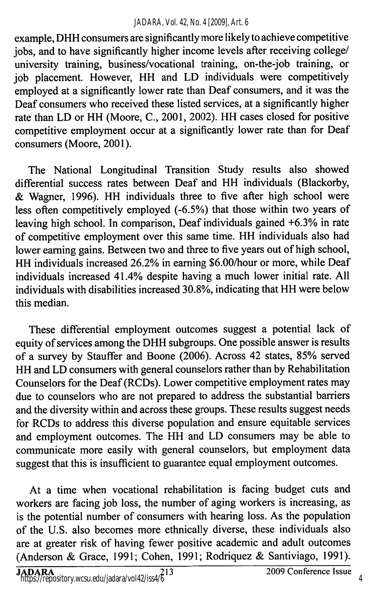#### *JADARA, Vol. 42, No. 4 [2009], Art. 6*

example, DHH consumers are significantly more likely to achieve competitive jobs, and to have significantly higher income levels after receiving college/ university training, business/vocational training, on-the-job training, or job placement. However, HH and LD individuals were competitively employed at a significantly lower rate than Deaf consumers, and it was the Deaf consumers who received these listed services, at a significantly higher rate than LD or HH (Moore, C., 2001, 2002). HH cases closed for positive competitive employment occur at a significantly lower rate than for Deaf consumers (Moore, 2001).

The National Longitudinal Transition Study results also showed differential success rates between Deaf and HH individuals (Blackorby, & Wagner, 1996). HH individuals three to five after high school were less often competitively employed (-6.5%) that those within two years of leaving high school. In comparison. Deaf individuals gained +6.3% in rate of competitive employment over this same time. HH individuals also had lower earning gains. Between two and three to five years out of high school, HH individuals increased 26.2% in earning \$6.00/hour or more, while Deaf individuals increased 41.4% despite having a much lower initial rate. All individuals with disabilities increased 30.8%, indicating that HH were below this median.

These differential employment outcomes suggest a potential lack of equity of services among the DHH subgroups. One possible answer is results of a survey by Stauffer and Boone (2006). Across 42 states, 85% served HH and LD consumers with general counselors rather than by Rehabilitation Counselors for the Deaf (RCDs). Lower competitive employment rates may due to counselors who are not prepared to address the substantial barriers and the diversity within and across these groups. These results suggest needs for RCDs to address this diverse population and ensure equitable services and employment outcomes. The HH and LD consumers may be able to communicate more easily with general counselors, but employment data suggest that this is insufficient to guarantee equal employment outcomes.

At a time when vocational rehabilitation is facing budget cuts and workers are facing job loss, the number of aging workers is increasing, as is the potential number of consumers with hearing loss. As the population of the U.S. also becomes more ethnically diverse, these individuals also are at greater risk of having fewer positive academic and adult outcomes (Anderson & Grace, 1991; Cohen, 1991; Rodriquez & Santiviago, 1991).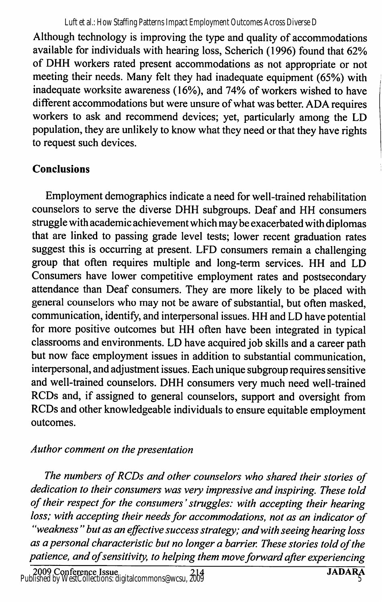Luft et al.: How Staffing Patterns Impact Employment Outcomes Across Diverse D

Although technology is improving the type and quality of accommodations available for individuals with hearing loss, Scherich (1996) found that 62% of DHH workers rated present accommodations as not appropriate or not meeting their needs. Many felt they had inadequate equipment (65%) with inadequate worksite awareness (16%), and 74% of workers wished to have different accommodations but were unsure of what was better. ADA requires workers to ask and recommend devices; yet, particularly among the LD population, they are unlikely to know what they need or that they have rights to request such devices.

# Conclusions

Employment demographics indicate a need for well-trained rehabilitation counselors to serve the diverse DHH subgroups. Deaf and HH consumers struggle with academic achievement which may be exacerbated with diplomas that are linked to passing grade level tests; lower recent graduation rates suggest this is occurring at present. LED consumers remain a challenging group that often requires multiple and long-term services. HH and LD Consumers have lower competitive employment rates and postsecondary attendance than Deaf consumers. They are more likely to be placed with general counselors who may not be aware of substantial, but often masked, communication, identify, and interpersonal issues. HH and LD have potential for more positive outcomes but HH often have been integrated in typical classrooms and environments. LD have acquired job skills and a career path but now face employment issues in addition to substantial communication, interpersonal, and adjustment issues. Each unique subgroup requires sensitive and well-trained counselors. DHH consumers very much need well-trained RCDs and, if assigned to general counselors, support and oversight from RCDs and other knowledgeable individuals to ensure equitable employment outcomes.

## Author comment on the presentation

The numbers of RCDs and other counselors who shared their stories of dedication to their consumers was very impressive and inspiring. These told of their respect for the consumers' struggles: with accepting their hearing loss; with accepting their needs for accommodations, not as an indicator of "weakness " but as an effective success strategy; and with seeing hearing loss as a personal characteristic but no longer a barrier. These stories told of the patience, and of sensitivity, to helping them move forward after experiencing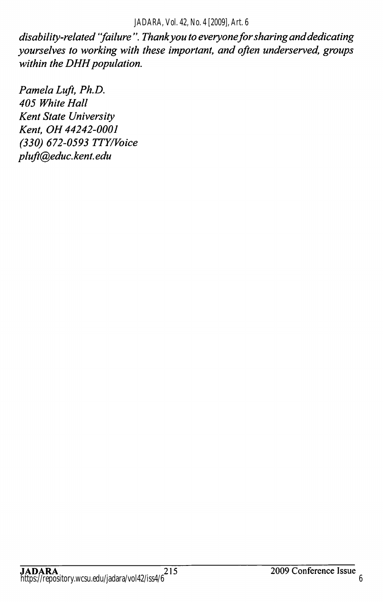#### *JADARA, Vol. 42, No. 4 [2009], Art. 6*

disability-related "failure". Thank you to everyone for sharing and dedicating yourselves to working with these important, and often underserved, groups within the DHH population.

Pamela Luft, Ph.D. 405 White Hall Kent State University Kent. OH 44242-0001 (330) 672-0593 TTY/Voice pluft@educ. kent. edu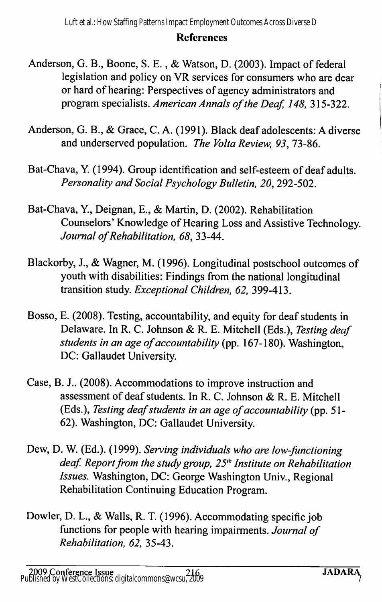#### **References**

- Anderson, G. B., Boone, S. E., & Watson, D. (2003). Impact of federal legislation and policy on VR services for consumers who are dear or hard of hearing: Perspectives of agency administrators and program specialists. American Annals of the Deaf, 148, 315-322.
- Anderson, G. B., & Grace, C. A. (1991). Black deaf adolescents: A diverse and underserved population. The Volta Review, 93, 73-86.
- Bat-Chava, Y. (1994). Group identification and self-esteem of deaf adults. Personality and Social Psychology Bulletin, 20, 292-502.
- Bat-Chava, ¥., Deignan, E., & Martin, D. (2002). Rehabilitation Counselors' Knowledge of Hearing Loss and Assistive Technology. Journal of Rehabilitation, 68, 33-44.
- Blackorby, J., & Wagner, M. (1996). Longitudinal postschool outcomes of youth with disabilities: Findings from the national longitudinal transition study. Exceptional Children, 62, 399-413.
- Bosso, E. (2008). Testing, accountability, and equity for deaf students in Delaware. In R. C. Johnson & R. E. Mitchell (Eds.), Testing deaf students in an age of accountability (pp. 167-180). Washington, DC: Gallaudet University.
- Case, B. J.. (2008). Accommodations to improve instruction and assessment of deaf students. In R. C. Johnson & R. E. Mitchell (Eds.), Testing deaf students in an age of accountability (pp. 51 - 62). Washington, DC: Gallaudet University.
- Dew, D. W. (Ed.). (1999). Serving individuals who are low-functioning deaf. Report from the study group,  $25<sup>th</sup>$  Institute on Rehabilitation Issues. Washington, DC: George Washington Univ., Regional Rehabilitation Continuing Education Program.
- Dowler, D. L., & Walls, R. T. (1996). Accommodating specific job functions for people with hearing impairments. Journal of Rehabilitation, 62, 35-43.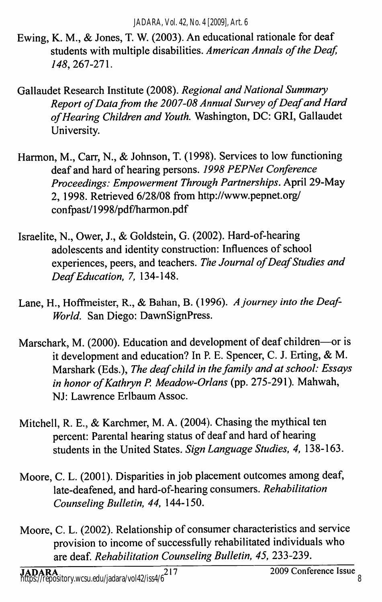- Ewing, K. M., & Jones, T. W. (2003). An educational rationale for deaf students with multiple disabilities. American Annals of the Deaf, 148, 261-21 \.
- Gallaudet Research Institute (2008). Regional and National Summary Report of Data from the 2007-08 Annual Survey of Deaf and Hard of Hearing Children and Youth. Washington, DC: GRI, Gallaudet University.
- Harmon, M., Carr, N., & Johnson, T. (1998). Services to low functioning deaf and hard of hearing persons. 1998 PEPNet Conference Proceedings: Empowerment Through Partnerships. April 29-May 2, 1998. Retrieved 6/28/08 from http://www.pepnet.org/ confpast/1998/pdf/harmon.pdf
- Israelite, N., Ower, J., & Goldstein, G. (2002). Hard-of-hearing adolescents and identity construction: Influences of school experiences, peers, and teachers. The Journal of Deaf Studies and Deaf Education, 7, 134-148.
- Lane, H., Hoffmeister, R., & Bahan, B. (1996). A journey into the Deaf-World. San Diego: DawnSignPress.
- Marschark, M. (2000). Education and development of deaf children—or is it development and education? In P. E. Spencer, C. J. Erting, & M. Marshark (Eds.), The deaf child in the family and at school: Essays in honor of Kathryn P. Meadow-Orlans (pp. 275-291). Mahwah, NJ: Lawrence Erlbaum Assoc.
- Mitchell, R. E., & Karchmer, M. A. (2004). Chasing the mythical ten percent: Parental hearing status of deaf and hard of hearing students in the United States. Sign Language Studies, 4, 138-163.
- Moore, C. L. (2001). Disparities in job placement outcomes among deaf, late-deafened, and hard-of-hearing consumers. Rehabilitation Counseling Bulletin, 44, 144-150.
- Moore, C. L. (2002). Relationship of consumer characteristics and service provision to income of successfully rehabilitated individuals who are deaf. Rehabilitation Counseling Bulletin, 45, 233-239.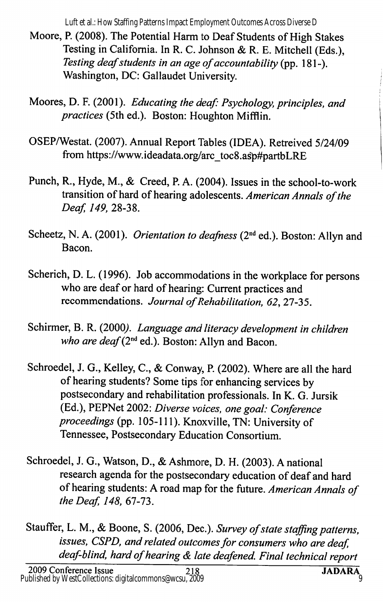Luft et al.: How Staffing Patterns Impact Employment Outcomes Across Diverse D

- Moore, R (2008). The Potential Harm to Deaf Students of High Stakes Testing in California. In R. C. Johnson & R. E. Mitchell (Eds.), Testing deaf students in an age of accountability (pp. 181-). Washington, DC: Gallaudet University.
- Moores, D. F. (2001). Educating the deaf: Psychology, principles, and practices (5th ed.). Boston: Houghton Mifflin,
- OSEP/Westat. (2007). Annual Report Tables (IDEA). Retreived 5/24/09 from https://www.ideadata.0rg/arc\_toc8.asp#partbLRE
- Punch, R., Hyde, M., & Creed, P. A. (2004). Issues in the school-to-work transition of hard of hearing adolescents. American Annals of the Deaf, 149, 28-38.
- Scheetz, N. A. (2001). Orientation to deafness (2<sup>nd</sup> ed.). Boston: Allyn and Bacon.
- Scherich, D. L. (1996). Job accommodations in the workplace for persons who are deaf or hard of hearing: Current practices and recommendations. Journal of Rehabilitation, 62, 27-35.
- Schirmer, B. R. (2000). Language and literacy development in children who are deaf ( $2<sup>nd</sup>$  ed.). Boston: Allyn and Bacon.
- Schroedel, J. G., Kelley, C., & Conway, P. (2002). Where are all the hard of hearing students? Some tips for enhancing services by postsecondary and rehabilitation professionals. In K. G. Jursik (Ed.), PEPNet 2002: Diverse voices, one goal: Conference proceedings (pp. 105-111). Knoxville, TN: University of Tennessee, Postsecondary Education Consortium.
- Schroedel, J. G., Watson, D., & Ashmore, D. H. (2003). A national research agenda for the postsecondary education of deaf and hard of hearing students: A road map for the future. American Annals of the Deaf, 148, 67-73.
- Stauffer, L. M., & Boone, S. (2006, Dec.). Survey of state staffing patterns, issues, CSPD, and related outcomes for consumers who are deaf, deaf-blind, hard of hearing & late deafened. Final technical report